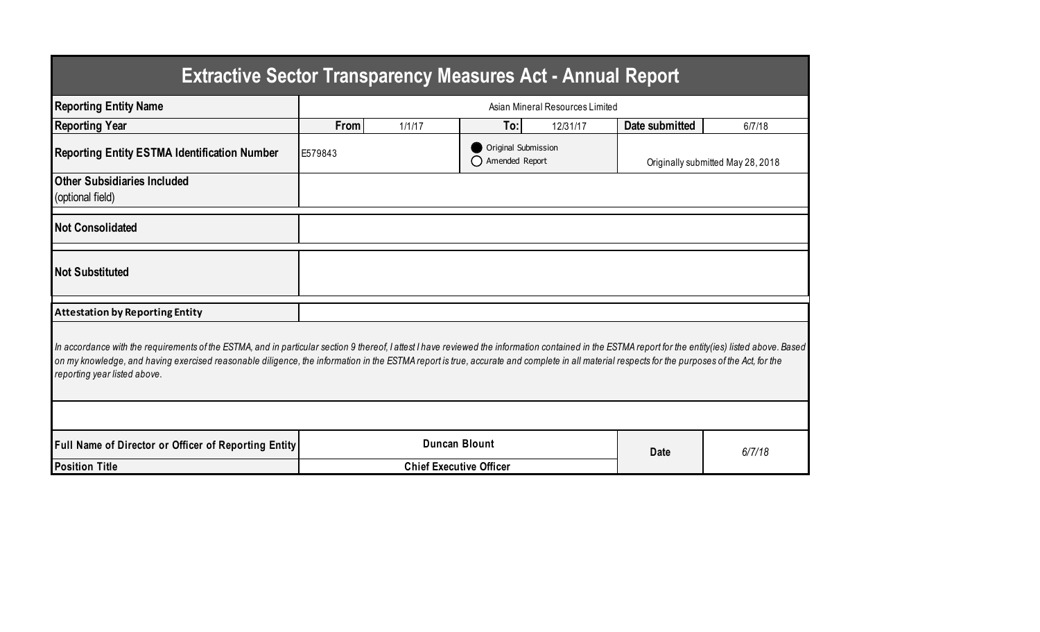| <b>Extractive Sector Transparency Measures Act - Annual Report</b>                                                                                                                                                                                                                                                                                                                                                                    |                                 |        |                                       |          |                                   |        |  |  |  |  |
|---------------------------------------------------------------------------------------------------------------------------------------------------------------------------------------------------------------------------------------------------------------------------------------------------------------------------------------------------------------------------------------------------------------------------------------|---------------------------------|--------|---------------------------------------|----------|-----------------------------------|--------|--|--|--|--|
| <b>Reporting Entity Name</b>                                                                                                                                                                                                                                                                                                                                                                                                          | Asian Mineral Resources Limited |        |                                       |          |                                   |        |  |  |  |  |
| <b>Reporting Year</b>                                                                                                                                                                                                                                                                                                                                                                                                                 | From                            | 1/1/17 | To:                                   | 12/31/17 | Date submitted                    | 6/7/18 |  |  |  |  |
| <b>Reporting Entity ESTMA Identification Number</b>                                                                                                                                                                                                                                                                                                                                                                                   | E579843                         |        | Original Submission<br>Amended Report |          | Originally submitted May 28, 2018 |        |  |  |  |  |
| <b>Other Subsidiaries Included</b><br>(optional field)                                                                                                                                                                                                                                                                                                                                                                                |                                 |        |                                       |          |                                   |        |  |  |  |  |
| <b>Not Consolidated</b>                                                                                                                                                                                                                                                                                                                                                                                                               |                                 |        |                                       |          |                                   |        |  |  |  |  |
| <b>Not Substituted</b>                                                                                                                                                                                                                                                                                                                                                                                                                |                                 |        |                                       |          |                                   |        |  |  |  |  |
| <b>Attestation by Reporting Entity</b>                                                                                                                                                                                                                                                                                                                                                                                                |                                 |        |                                       |          |                                   |        |  |  |  |  |
| In accordance with the requirements of the ESTMA, and in particular section 9 thereof, I attest I have reviewed the information contained in the ESTMA report for the entity(ies) listed above. Based<br>on my knowledge, and having exercised reasonable diligence, the information in the ESTMA report is true, accurate and complete in all material respects for the purposes of the Act, for the<br>reporting year listed above. |                                 |        |                                       |          |                                   |        |  |  |  |  |
|                                                                                                                                                                                                                                                                                                                                                                                                                                       |                                 |        |                                       |          |                                   |        |  |  |  |  |
| Full Name of Director or Officer of Reporting Entity                                                                                                                                                                                                                                                                                                                                                                                  | <b>Duncan Blount</b>            |        |                                       | Date     | 6/7/18                            |        |  |  |  |  |
| <b>Position Title</b>                                                                                                                                                                                                                                                                                                                                                                                                                 | <b>Chief Executive Officer</b>  |        |                                       |          |                                   |        |  |  |  |  |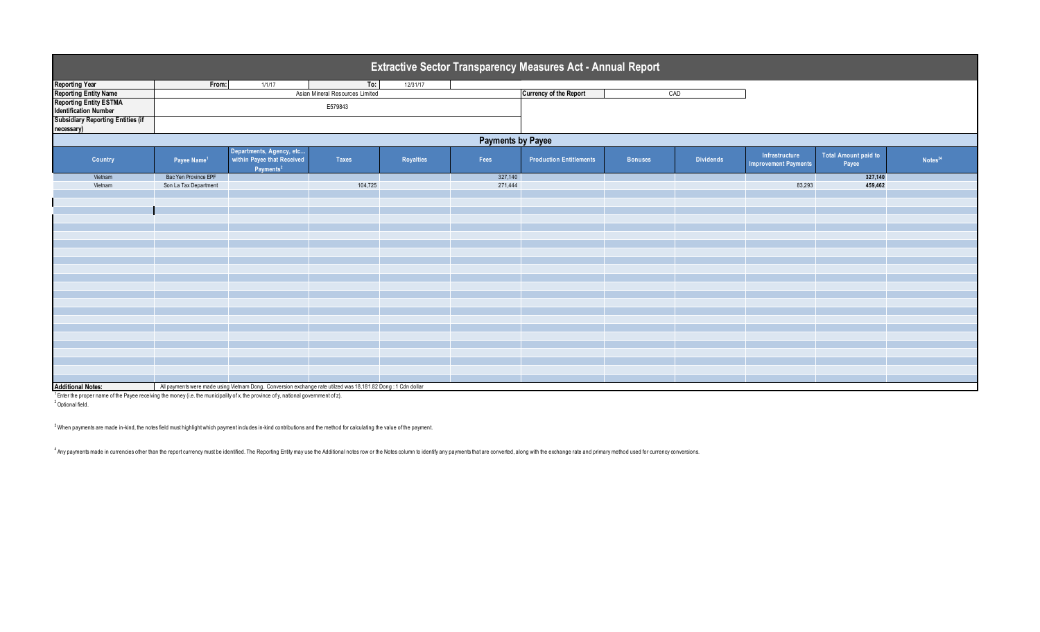| <b>Extractive Sector Transparency Measures Act - Annual Report</b> |                         |                                                                                                              |                                 |           |         |                                |                |                  |                                               |                               |                     |
|--------------------------------------------------------------------|-------------------------|--------------------------------------------------------------------------------------------------------------|---------------------------------|-----------|---------|--------------------------------|----------------|------------------|-----------------------------------------------|-------------------------------|---------------------|
| <b>Reporting Year</b>                                              | From:                   | 1/1/17                                                                                                       | To:                             | 12/31/17  |         |                                |                |                  |                                               |                               |                     |
| <b>Reporting Entity Name</b>                                       |                         |                                                                                                              | Asian Mineral Resources Limited |           |         | <b>Currency of the Report</b>  | CAD            |                  |                                               |                               |                     |
| <b>Reporting Entity ESTMA</b>                                      |                         |                                                                                                              | E579843                         |           |         |                                |                |                  |                                               |                               |                     |
| <b>Identification Number</b>                                       |                         |                                                                                                              |                                 |           |         |                                |                |                  |                                               |                               |                     |
| <b>Subsidiary Reporting Entities (if</b>                           |                         |                                                                                                              |                                 |           |         |                                |                |                  |                                               |                               |                     |
| necessary)                                                         |                         |                                                                                                              |                                 |           |         |                                |                |                  |                                               |                               |                     |
| <b>Payments by Payee</b>                                           |                         |                                                                                                              |                                 |           |         |                                |                |                  |                                               |                               |                     |
| Country                                                            | Payee Name <sup>1</sup> | Departments, Agency, etc<br>within Payee that Received<br>Payments <sup>2</sup>                              | <b>Taxes</b>                    | Royalties | Fees    | <b>Production Entitlements</b> | <b>Bonuses</b> | <b>Dividends</b> | Infrastructure<br><b>Improvement Payments</b> | Total Amount paid to<br>Payee | Notes <sup>34</sup> |
| Vietnam                                                            | Bac Yen Province EPF    |                                                                                                              |                                 |           | 327,140 |                                |                |                  |                                               | 327,140                       |                     |
| Vietnam                                                            | Son La Tax Department   |                                                                                                              | 104,725                         |           | 271,444 |                                |                |                  | 83,293                                        | 459,462                       |                     |
|                                                                    |                         |                                                                                                              |                                 |           |         |                                |                |                  |                                               |                               |                     |
|                                                                    |                         |                                                                                                              |                                 |           |         |                                |                |                  |                                               |                               |                     |
|                                                                    |                         |                                                                                                              |                                 |           |         |                                |                |                  |                                               |                               |                     |
|                                                                    |                         |                                                                                                              |                                 |           |         |                                |                |                  |                                               |                               |                     |
|                                                                    |                         |                                                                                                              |                                 |           |         |                                |                |                  |                                               |                               |                     |
|                                                                    |                         |                                                                                                              |                                 |           |         |                                |                |                  |                                               |                               |                     |
|                                                                    |                         |                                                                                                              |                                 |           |         |                                |                |                  |                                               |                               |                     |
|                                                                    |                         |                                                                                                              |                                 |           |         |                                |                |                  |                                               |                               |                     |
|                                                                    |                         |                                                                                                              |                                 |           |         |                                |                |                  |                                               |                               |                     |
|                                                                    |                         |                                                                                                              |                                 |           |         |                                |                |                  |                                               |                               |                     |
|                                                                    |                         |                                                                                                              |                                 |           |         |                                |                |                  |                                               |                               |                     |
|                                                                    |                         |                                                                                                              |                                 |           |         |                                |                |                  |                                               |                               |                     |
|                                                                    |                         |                                                                                                              |                                 |           |         |                                |                |                  |                                               |                               |                     |
|                                                                    |                         |                                                                                                              |                                 |           |         |                                |                |                  |                                               |                               |                     |
|                                                                    |                         |                                                                                                              |                                 |           |         |                                |                |                  |                                               |                               |                     |
|                                                                    |                         |                                                                                                              |                                 |           |         |                                |                |                  |                                               |                               |                     |
|                                                                    |                         |                                                                                                              |                                 |           |         |                                |                |                  |                                               |                               |                     |
|                                                                    |                         |                                                                                                              |                                 |           |         |                                |                |                  |                                               |                               |                     |
|                                                                    |                         |                                                                                                              |                                 |           |         |                                |                |                  |                                               |                               |                     |
|                                                                    |                         |                                                                                                              |                                 |           |         |                                |                |                  |                                               |                               |                     |
| <b>Additional Notes:</b>                                           |                         | All payments were made using Vietnam Dong. Conversion exchange rate utilzed was 18,181.82 Dong: 1 Cdn dollar |                                 |           |         |                                |                |                  |                                               |                               |                     |

Additional Notes: All payments were made using Vietnam Dong. Conversion exchange rate utilzed was 18,181.82 Dong ∶1 Cdn dollar<br><sup>1</sup> Enter the proper name of the Payee receiving the money (i.e. the municipality of x, the pr <sup>2</sup> Optional field.

 $^3$  When payments are made in-kind, the notes field must highlight which payment includes in-kind contributions and the method for calculating the value of the payment.

<sup>4</sup> Any payments made in currencies other than the report currency must be identified. The Reporting Entity may use the Additional notes row or the Notes column to identify any payments that are converted, along with the e